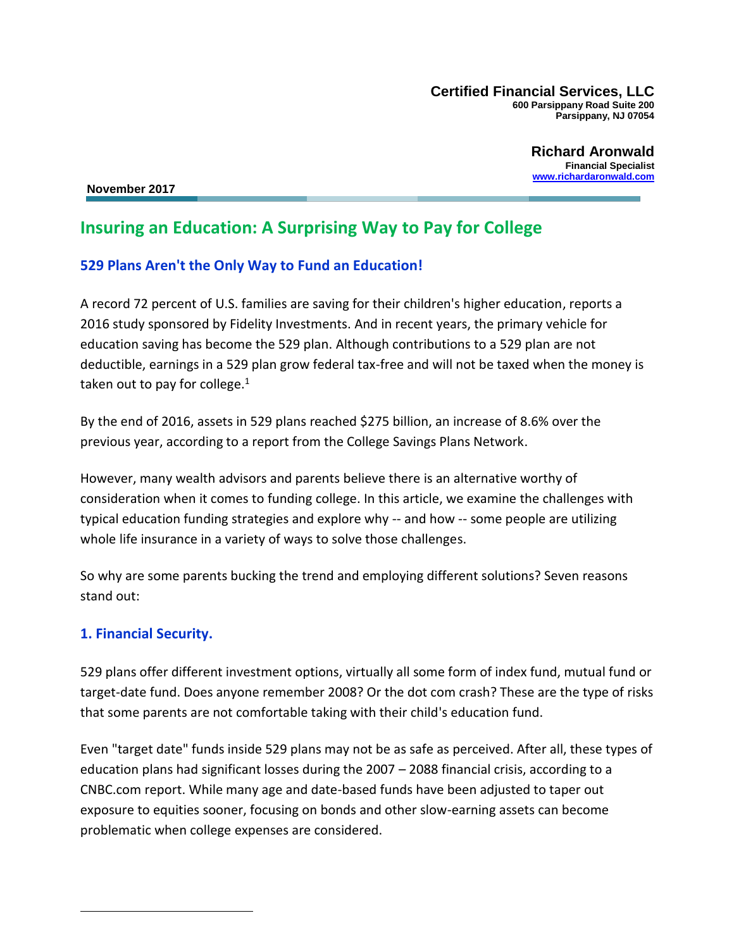**Certified Financial Services, LLC 600 Parsippany Road Suite 200 Parsippany, NJ 07054**

> **Richard Aronwald Financial Specialist [www.richardaronwald.com](http://www.richardaronwald.com/)**

 **November 2017**

# **Insuring an Education: A Surprising Way to Pay for College**

### **529 Plans Aren't the Only Way to Fund an Education!**

A record 72 percent of U.S. families are saving for their children's higher education, reports a 2016 study sponsored by Fidelity Investments. And in recent years, the primary vehicle for education saving has become the 529 plan. Although contributions to a 529 plan are not deductible, earnings in a 529 plan grow federal tax-free and will not be taxed when the money is taken out to pay for college. $1$ 

By the end of 2016, assets in 529 plans reached \$275 billion, an increase of 8.6% over the previous year, according to a report from the College Savings Plans Network.

However, many wealth advisors and parents believe there is an alternative worthy of consideration when it comes to funding college. In this article, we examine the challenges with typical education funding strategies and explore why -- and how -- some people are utilizing whole life insurance in a variety of ways to solve those challenges.

So why are some parents bucking the trend and employing different solutions? Seven reasons stand out:

#### **1. Financial Security.**

529 plans offer different investment options, virtually all some form of index fund, mutual fund or target-date fund. Does anyone remember 2008? Or the dot com crash? These are the type of risks that some parents are not comfortable taking with their child's education fund.

Even "target date" funds inside 529 plans may not be as safe as perceived. After all, these types of education plans had significant losses during the 2007 – 2088 financial crisis, according to a CNBC.com report. While many age and date-based funds have been adjusted to taper out exposure to equities sooner, focusing on bonds and other slow-earning assets can become problematic when college expenses are considered.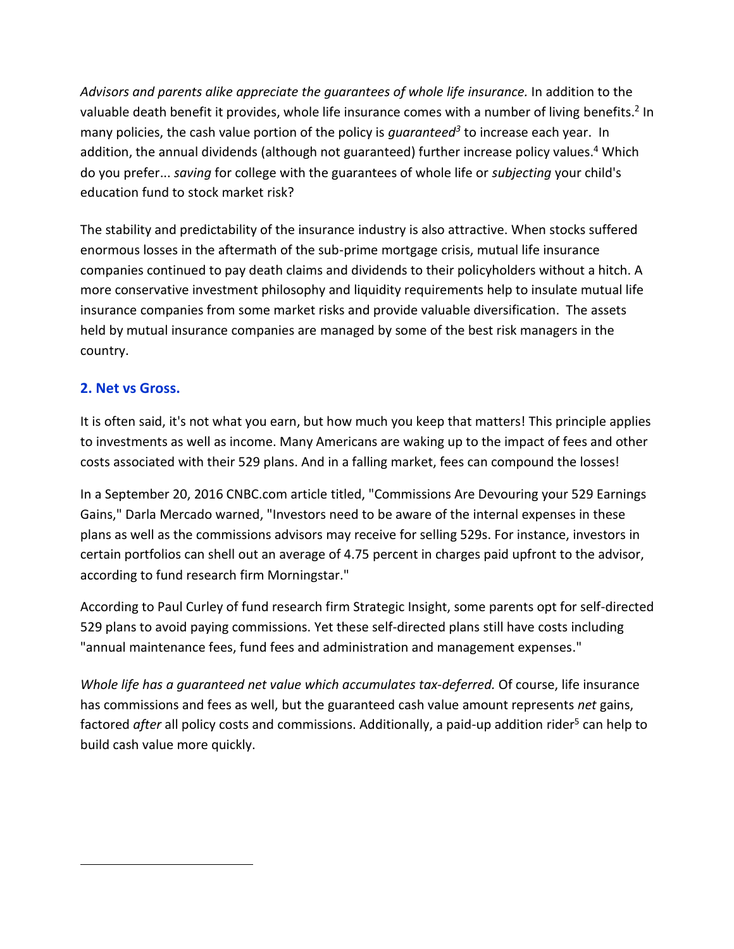*Advisors and parents alike appreciate the guarantees of whole life insurance.* In addition to the valuable death benefit it provides, whole life insurance comes with a number of living benefits.<sup>2</sup> In many policies, the cash value portion of the policy is *guaranteed<sup>3</sup>* to increase each year. In addition, the annual dividends (although not guaranteed) further increase policy values. <sup>4</sup> Which do you prefer... *saving* for college with the guarantees of whole life or *subjecting* your child's education fund to stock market risk?

The stability and predictability of the insurance industry is also attractive. When stocks suffered enormous losses in the aftermath of the sub-prime mortgage crisis, mutual life insurance companies continued to pay death claims and dividends to their policyholders without a hitch. A more conservative investment philosophy and liquidity requirements help to insulate mutual life insurance companies from some market risks and provide valuable diversification. The assets held by mutual insurance companies are managed by some of the best risk managers in the country.

### **2. Net vs Gross.**

 $\overline{a}$ 

It is often said, it's not what you earn, but how much you keep that matters! This principle applies to investments as well as income. Many Americans are waking up to the impact of fees and other costs associated with their 529 plans. And in a falling market, fees can compound the losses!

In a September 20, 2016 CNBC.com article titled, "Commissions Are Devouring your 529 Earnings Gains," Darla Mercado warned, "Investors need to be aware of the internal expenses in these plans as well as the commissions advisors may receive for selling 529s. For instance, investors in certain portfolios can shell out an average of 4.75 percent in charges paid upfront to the advisor, according to fund research firm Morningstar."

According to Paul Curley of fund research firm Strategic Insight, some parents opt for self-directed 529 plans to avoid paying commissions. Yet these self-directed plans still have costs including "annual maintenance fees, fund fees and administration and management expenses."

*Whole life has a guaranteed net value which accumulates tax-deferred.* Of course, life insurance has commissions and fees as well, but the guaranteed cash value amount represents *net* gains, factored *after* all policy costs and commissions. Additionally, a paid-up addition rider<sup>5</sup> can help to build cash value more quickly.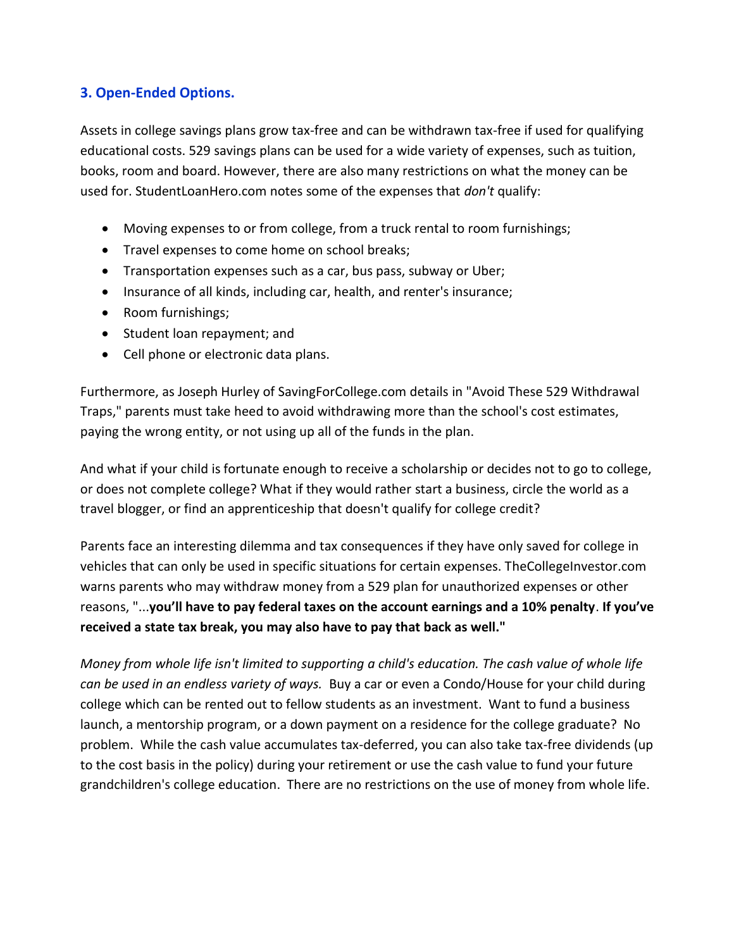### **3. Open-Ended Options.**

Assets in college savings plans grow tax-free and can be withdrawn tax-free if used for qualifying educational costs. 529 savings plans can be used for a wide variety of expenses, such as tuition, books, room and board. However, there are also many restrictions on what the money can be used for. StudentLoanHero.com notes some of the expenses that *don't* qualify:

- Moving expenses to or from college, from a truck rental to room furnishings;
- Travel expenses to come home on school breaks;
- Transportation expenses such as a car, bus pass, subway or Uber;
- Insurance of all kinds, including car, health, and renter's insurance;
- Room furnishings;
- Student loan repayment; and
- Cell phone or electronic data plans.

Furthermore, as Joseph Hurley of SavingForCollege.com details in "Avoid These 529 Withdrawal Traps," parents must take heed to avoid withdrawing more than the school's cost estimates, paying the wrong entity, or not using up all of the funds in the plan.

And what if your child is fortunate enough to receive a scholarship or decides not to go to college, or does not complete college? What if they would rather start a business, circle the world as a travel blogger, or find an apprenticeship that doesn't qualify for college credit?

Parents face an interesting dilemma and tax consequences if they have only saved for college in vehicles that can only be used in specific situations for certain expenses. TheCollegeInvestor.com warns parents who may withdraw money from a 529 plan for unauthorized expenses or other reasons, "...**you'll have to pay federal taxes on the account earnings and a 10% penalty**. **If you've received a state tax break, you may also have to pay that back as well."**

*Money from whole life isn't limited to supporting a child's education. The cash value of whole life can be used in an endless variety of ways.* Buy a car or even a Condo/House for your child during college which can be rented out to fellow students as an investment. Want to fund a business launch, a mentorship program, or a down payment on a residence for the college graduate? No problem. While the cash value accumulates tax-deferred, you can also take tax-free dividends (up to the cost basis in the policy) during your retirement or use the cash value to fund your future grandchildren's college education. There are no restrictions on the use of money from whole life.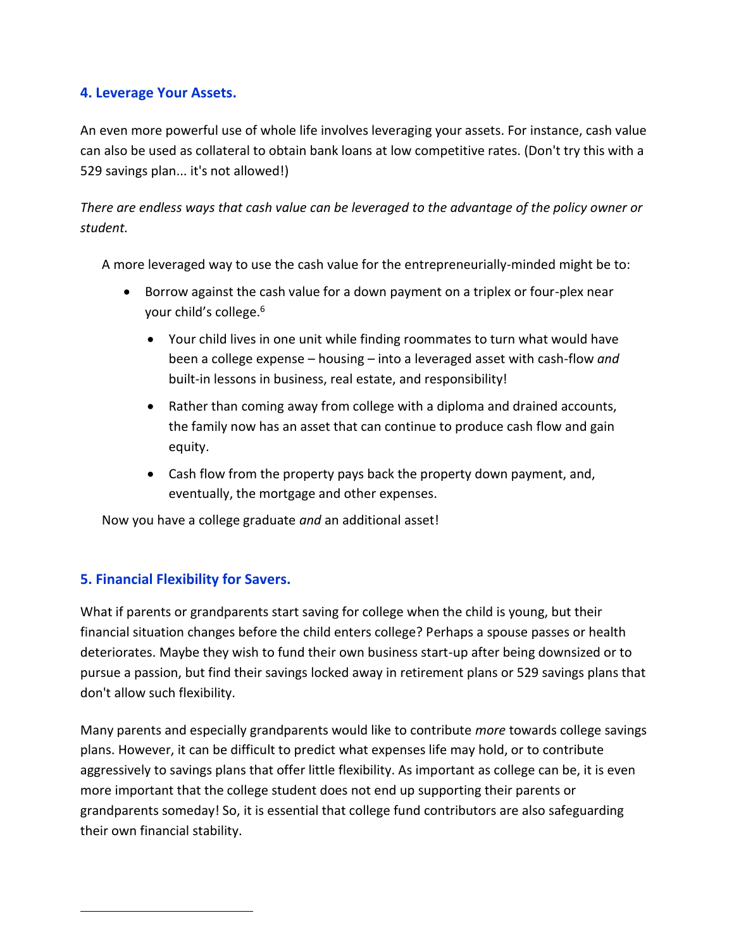### **4. Leverage Your Assets.**

An even more powerful use of whole life involves leveraging your assets. For instance, cash value can also be used as collateral to obtain bank loans at low competitive rates. (Don't try this with a 529 savings plan... it's not allowed!)

*There are endless ways that cash value can be leveraged to the advantage of the policy owner or student.*

A more leveraged way to use the cash value for the entrepreneurially-minded might be to:

- Borrow against the cash value for a down payment on a triplex or four-plex near your child's college.<sup>6</sup>
	- Your child lives in one unit while finding roommates to turn what would have been a college expense – housing – into a leveraged asset with cash-flow *and* built-in lessons in business, real estate, and responsibility!
	- Rather than coming away from college with a diploma and drained accounts, the family now has an asset that can continue to produce cash flow and gain equity.
	- Cash flow from the property pays back the property down payment, and, eventually, the mortgage and other expenses.

Now you have a college graduate *and* an additional asset!

#### **5. Financial Flexibility for Savers.**

 $\overline{a}$ 

What if parents or grandparents start saving for college when the child is young, but their financial situation changes before the child enters college? Perhaps a spouse passes or health deteriorates. Maybe they wish to fund their own business start-up after being downsized or to pursue a passion, but find their savings locked away in retirement plans or 529 savings plans that don't allow such flexibility.

Many parents and especially grandparents would like to contribute *more* towards college savings plans. However, it can be difficult to predict what expenses life may hold, or to contribute aggressively to savings plans that offer little flexibility. As important as college can be, it is even more important that the college student does not end up supporting their parents or grandparents someday! So, it is essential that college fund contributors are also safeguarding their own financial stability.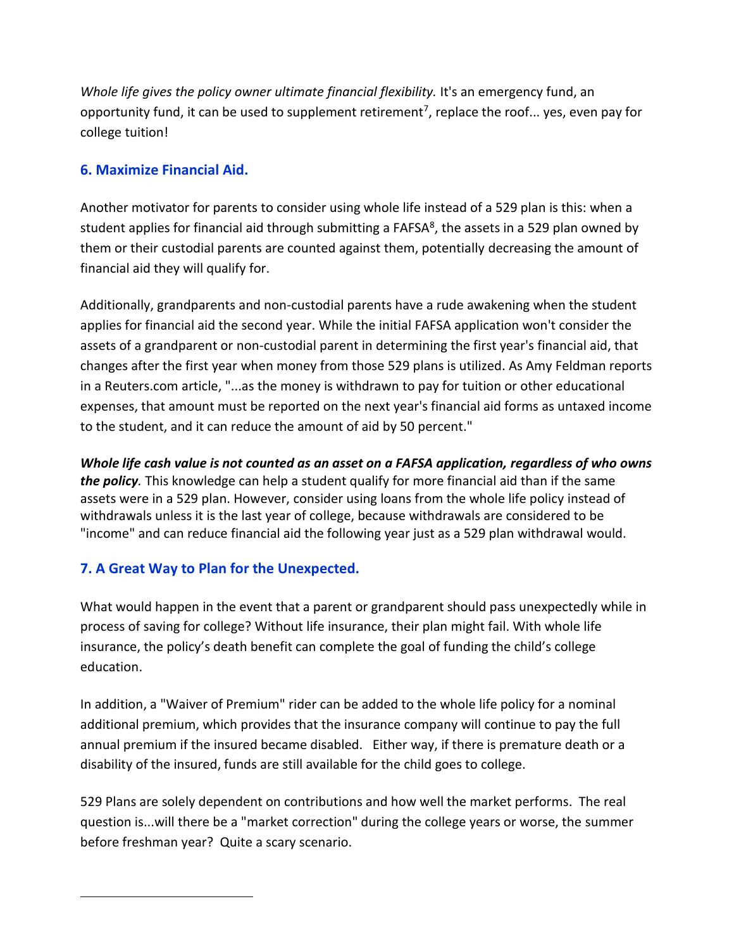*Whole life gives the policy owner ultimate financial flexibility.* It's an emergency fund, an opportunity fund, it can be used to supplement retirement<sup>7</sup>, replace the roof... yes, even pay for college tuition!

### **6. Maximize Financial Aid.**

Another motivator for parents to consider using whole life instead of a 529 plan is this: when a student applies for financial aid through submitting a FAFSA<sup>8</sup>, the assets in a 529 plan owned by them or their custodial parents are counted against them, potentially decreasing the amount of financial aid they will qualify for.

Additionally, grandparents and non-custodial parents have a rude awakening when the student applies for financial aid the second year. While the initial FAFSA application won't consider the assets of a grandparent or non-custodial parent in determining the first year's financial aid, that changes after the first year when money from those 529 plans is utilized. As Amy Feldman reports in a Reuters.com article, "...as the money is withdrawn to pay for tuition or other educational expenses, that amount must be reported on the next year's financial aid forms as untaxed income to the student, and it can reduce the amount of aid by 50 percent."

*Whole life cash value is not counted as an asset on a FAFSA application, regardless of who owns the policy.* This knowledge can help a student qualify for more financial aid than if the same assets were in a 529 plan. However, consider using loans from the whole life policy instead of withdrawals unless it is the last year of college, because withdrawals are considered to be "income" and can reduce financial aid the following year just as a 529 plan withdrawal would.

## **7. A Great Way to Plan for the Unexpected.**

 $\overline{a}$ 

What would happen in the event that a parent or grandparent should pass unexpectedly while in process of saving for college? Without life insurance, their plan might fail. With whole life insurance, the policy's death benefit can complete the goal of funding the child's college education.

In addition, a "Waiver of Premium" rider can be added to the whole life policy for a nominal additional premium, which provides that the insurance company will continue to pay the full annual premium if the insured became disabled. Either way, if there is premature death or a disability of the insured, funds are still available for the child goes to college.

529 Plans are solely dependent on contributions and how well the market performs. The real question is...will there be a "market correction" during the college years or worse, the summer before freshman year? Quite a scary scenario.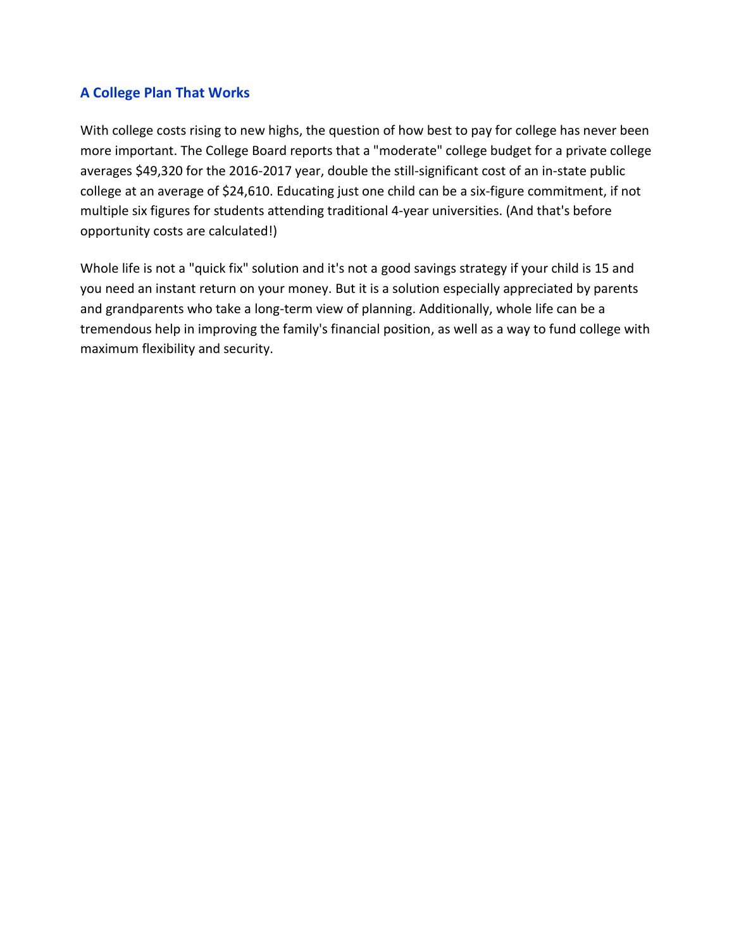### **A College Plan That Works**

With college costs rising to new highs, the question of how best to pay for college has never been more important. The College Board reports that a "moderate" college budget for a private college averages \$49,320 for the 2016-2017 year, double the still-significant cost of an in-state public college at an average of \$24,610. Educating just one child can be a six-figure commitment, if not multiple six figures for students attending traditional 4-year universities. (And that's before opportunity costs are calculated!)

Whole life is not a "quick fix" solution and it's not a good savings strategy if your child is 15 and you need an instant return on your money. But it is a solution especially appreciated by parents and grandparents who take a long-term view of planning. Additionally, whole life can be a tremendous help in improving the family's financial position, as well as a way to fund college with maximum flexibility and security.